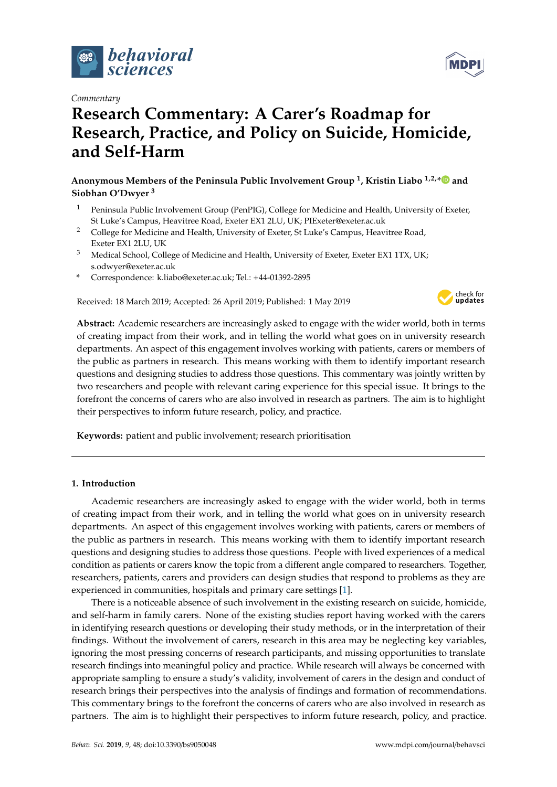

*Commentary*

# **Research Commentary: A Carer's Roadmap for Research, Practice, and Policy on Suicide, Homicide, and Self-Harm**

**Anonymous Members of the Peninsula Public Involvement Group <sup>1</sup> , Kristin Liabo 1,2,[\\*](https://orcid.org/0000-0002-7052-1261) and Siobhan O'Dwyer <sup>3</sup>**

- <sup>1</sup> Peninsula Public Involvement Group (PenPIG), College for Medicine and Health, University of Exeter, St Luke's Campus, Heavitree Road, Exeter EX1 2LU, UK; PIExeter@exeter.ac.uk
- <sup>2</sup> College for Medicine and Health, University of Exeter, St Luke's Campus, Heavitree Road, Exeter EX1 2LU, UK
- <sup>3</sup> Medical School, College of Medicine and Health, University of Exeter, Exeter EX1 1TX, UK; s.odwyer@exeter.ac.uk
- **\*** Correspondence: k.liabo@exeter.ac.uk; Tel.: +44-01392-2895

Received: 18 March 2019; Accepted: 26 April 2019; Published: 1 May 2019



**Abstract:** Academic researchers are increasingly asked to engage with the wider world, both in terms of creating impact from their work, and in telling the world what goes on in university research departments. An aspect of this engagement involves working with patients, carers or members of the public as partners in research. This means working with them to identify important research questions and designing studies to address those questions. This commentary was jointly written by two researchers and people with relevant caring experience for this special issue. It brings to the forefront the concerns of carers who are also involved in research as partners. The aim is to highlight their perspectives to inform future research, policy, and practice.

**Keywords:** patient and public involvement; research prioritisation

# **1. Introduction**

Academic researchers are increasingly asked to engage with the wider world, both in terms of creating impact from their work, and in telling the world what goes on in university research departments. An aspect of this engagement involves working with patients, carers or members of the public as partners in research. This means working with them to identify important research questions and designing studies to address those questions. People with lived experiences of a medical condition as patients or carers know the topic from a different angle compared to researchers. Together, researchers, patients, carers and providers can design studies that respond to problems as they are experienced in communities, hospitals and primary care settings [\[1\]](#page-3-0).

There is a noticeable absence of such involvement in the existing research on suicide, homicide, and self-harm in family carers. None of the existing studies report having worked with the carers in identifying research questions or developing their study methods, or in the interpretation of their findings. Without the involvement of carers, research in this area may be neglecting key variables, ignoring the most pressing concerns of research participants, and missing opportunities to translate research findings into meaningful policy and practice. While research will always be concerned with appropriate sampling to ensure a study's validity, involvement of carers in the design and conduct of research brings their perspectives into the analysis of findings and formation of recommendations. This commentary brings to the forefront the concerns of carers who are also involved in research as partners. The aim is to highlight their perspectives to inform future research, policy, and practice.

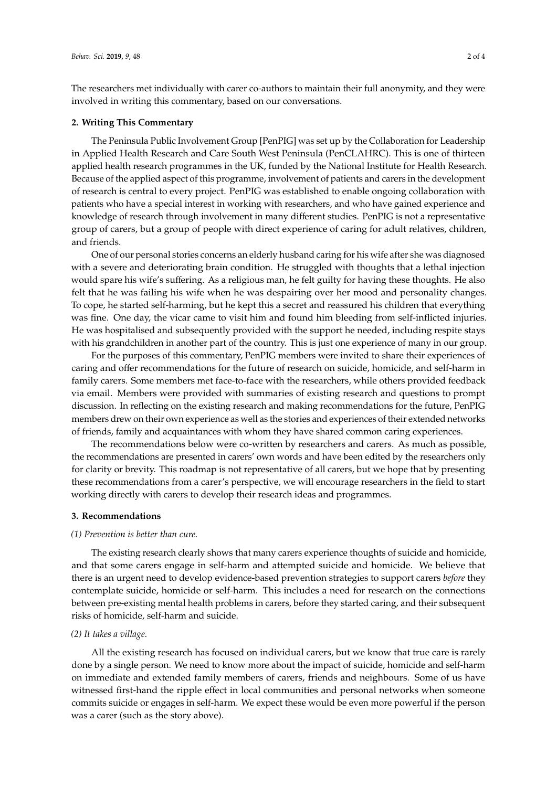The researchers met individually with carer co-authors to maintain their full anonymity, and they were involved in writing this commentary, based on our conversations.

#### **2. Writing This Commentary**

The Peninsula Public Involvement Group [PenPIG] was set up by the Collaboration for Leadership in Applied Health Research and Care South West Peninsula (PenCLAHRC). This is one of thirteen applied health research programmes in the UK, funded by the National Institute for Health Research. Because of the applied aspect of this programme, involvement of patients and carers in the development of research is central to every project. PenPIG was established to enable ongoing collaboration with patients who have a special interest in working with researchers, and who have gained experience and knowledge of research through involvement in many different studies. PenPIG is not a representative group of carers, but a group of people with direct experience of caring for adult relatives, children, and friends.

One of our personal stories concerns an elderly husband caring for his wife after she was diagnosed with a severe and deteriorating brain condition. He struggled with thoughts that a lethal injection would spare his wife's suffering. As a religious man, he felt guilty for having these thoughts. He also felt that he was failing his wife when he was despairing over her mood and personality changes. To cope, he started self-harming, but he kept this a secret and reassured his children that everything was fine. One day, the vicar came to visit him and found him bleeding from self-inflicted injuries. He was hospitalised and subsequently provided with the support he needed, including respite stays with his grandchildren in another part of the country. This is just one experience of many in our group.

For the purposes of this commentary, PenPIG members were invited to share their experiences of caring and offer recommendations for the future of research on suicide, homicide, and self-harm in family carers. Some members met face-to-face with the researchers, while others provided feedback via email. Members were provided with summaries of existing research and questions to prompt discussion. In reflecting on the existing research and making recommendations for the future, PenPIG members drew on their own experience as well as the stories and experiences of their extended networks of friends, family and acquaintances with whom they have shared common caring experiences.

The recommendations below were co-written by researchers and carers. As much as possible, the recommendations are presented in carers' own words and have been edited by the researchers only for clarity or brevity. This roadmap is not representative of all carers, but we hope that by presenting these recommendations from a carer's perspective, we will encourage researchers in the field to start working directly with carers to develop their research ideas and programmes.

## **3. Recommendations**

#### *(1) Prevention is better than cure.*

The existing research clearly shows that many carers experience thoughts of suicide and homicide, and that some carers engage in self-harm and attempted suicide and homicide. We believe that there is an urgent need to develop evidence-based prevention strategies to support carers *before* they contemplate suicide, homicide or self-harm. This includes a need for research on the connections between pre-existing mental health problems in carers, before they started caring, and their subsequent risks of homicide, self-harm and suicide.

## *(2) It takes a village.*

All the existing research has focused on individual carers, but we know that true care is rarely done by a single person. We need to know more about the impact of suicide, homicide and self-harm on immediate and extended family members of carers, friends and neighbours. Some of us have witnessed first-hand the ripple effect in local communities and personal networks when someone commits suicide or engages in self-harm. We expect these would be even more powerful if the person was a carer (such as the story above).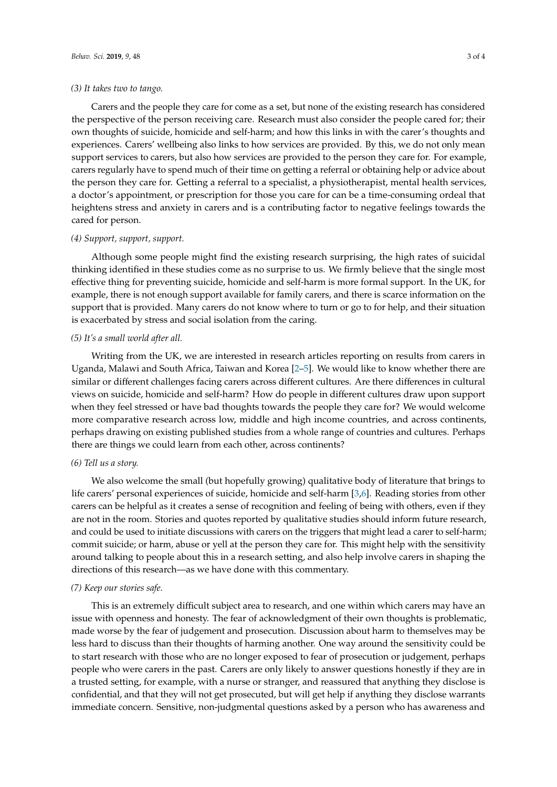#### *(3) It takes two to tango.*

Carers and the people they care for come as a set, but none of the existing research has considered the perspective of the person receiving care. Research must also consider the people cared for; their own thoughts of suicide, homicide and self-harm; and how this links in with the carer's thoughts and experiences. Carers' wellbeing also links to how services are provided. By this, we do not only mean support services to carers, but also how services are provided to the person they care for. For example, carers regularly have to spend much of their time on getting a referral or obtaining help or advice about the person they care for. Getting a referral to a specialist, a physiotherapist, mental health services, a doctor's appointment, or prescription for those you care for can be a time-consuming ordeal that heightens stress and anxiety in carers and is a contributing factor to negative feelings towards the cared for person.

## *(4) Support, support, support.*

Although some people might find the existing research surprising, the high rates of suicidal thinking identified in these studies come as no surprise to us. We firmly believe that the single most effective thing for preventing suicide, homicide and self-harm is more formal support. In the UK, for example, there is not enough support available for family carers, and there is scarce information on the support that is provided. Many carers do not know where to turn or go to for help, and their situation is exacerbated by stress and social isolation from the caring.

#### *(5) It's a small world after all.*

Writing from the UK, we are interested in research articles reporting on results from carers in Uganda, Malawi and South Africa, Taiwan and Korea [\[2–](#page-3-1)[5\]](#page-3-2). We would like to know whether there are similar or different challenges facing carers across different cultures. Are there differences in cultural views on suicide, homicide and self-harm? How do people in different cultures draw upon support when they feel stressed or have bad thoughts towards the people they care for? We would welcome more comparative research across low, middle and high income countries, and across continents, perhaps drawing on existing published studies from a whole range of countries and cultures. Perhaps there are things we could learn from each other, across continents?

#### *(6) Tell us a story.*

We also welcome the small (but hopefully growing) qualitative body of literature that brings to life carers' personal experiences of suicide, homicide and self-harm [\[3](#page-3-3)[,6\]](#page-3-4). Reading stories from other carers can be helpful as it creates a sense of recognition and feeling of being with others, even if they are not in the room. Stories and quotes reported by qualitative studies should inform future research, and could be used to initiate discussions with carers on the triggers that might lead a carer to self-harm; commit suicide; or harm, abuse or yell at the person they care for. This might help with the sensitivity around talking to people about this in a research setting, and also help involve carers in shaping the directions of this research—as we have done with this commentary.

## *(7) Keep our stories safe.*

This is an extremely difficult subject area to research, and one within which carers may have an issue with openness and honesty. The fear of acknowledgment of their own thoughts is problematic, made worse by the fear of judgement and prosecution. Discussion about harm to themselves may be less hard to discuss than their thoughts of harming another. One way around the sensitivity could be to start research with those who are no longer exposed to fear of prosecution or judgement, perhaps people who were carers in the past. Carers are only likely to answer questions honestly if they are in a trusted setting, for example, with a nurse or stranger, and reassured that anything they disclose is confidential, and that they will not get prosecuted, but will get help if anything they disclose warrants immediate concern. Sensitive, non-judgmental questions asked by a person who has awareness and